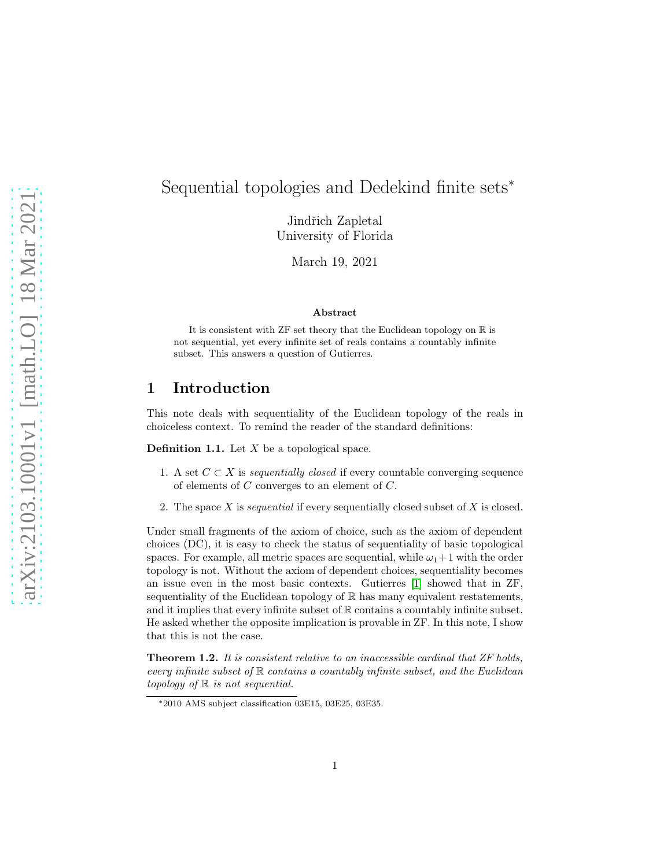# Sequential topologies and Dedekind finite sets<sup>∗</sup>

Jindřich Zapletal University of Florida

March 19, 2021

#### Abstract

It is consistent with  $ZF$  set theory that the Euclidean topology on  $\mathbb R$  is not sequential, yet every infinite set of reals contains a countably infinite subset. This answers a question of Gutierres.

### 1 Introduction

This note deals with sequentiality of the Euclidean topology of the reals in choiceless context. To remind the reader of the standard definitions:

**Definition 1.1.** Let  $X$  be a topological space.

- 1. A set  $C \subset X$  is *sequentially closed* if every countable converging sequence of elements of C converges to an element of C.
- 2. The space X is *sequential* if every sequentially closed subset of X is closed.

Under small fragments of the axiom of choice, such as the axiom of dependent choices (DC), it is easy to check the status of sequentiality of basic topological spaces. For example, all metric spaces are sequential, while  $\omega_1+1$  with the order topology is not. Without the axiom of dependent choices, sequentiality becomes an issue even in the most basic contexts. Gutierres [\[1\]](#page-4-0) showed that in ZF, sequentiality of the Euclidean topology of R has many equivalent restatements, and it implies that every infinite subset of  $\mathbb R$  contains a countably infinite subset. He asked whether the opposite implication is provable in ZF. In this note, I show that this is not the case.

<span id="page-0-0"></span>Theorem 1.2. *It is consistent relative to an inaccessible cardinal that ZF holds, every infinite subset of* R *contains a countably infinite subset, and the Euclidean topology of* R *is not sequential.*

<sup>∗</sup>2010 AMS subject classification 03E15, 03E25, 03E35.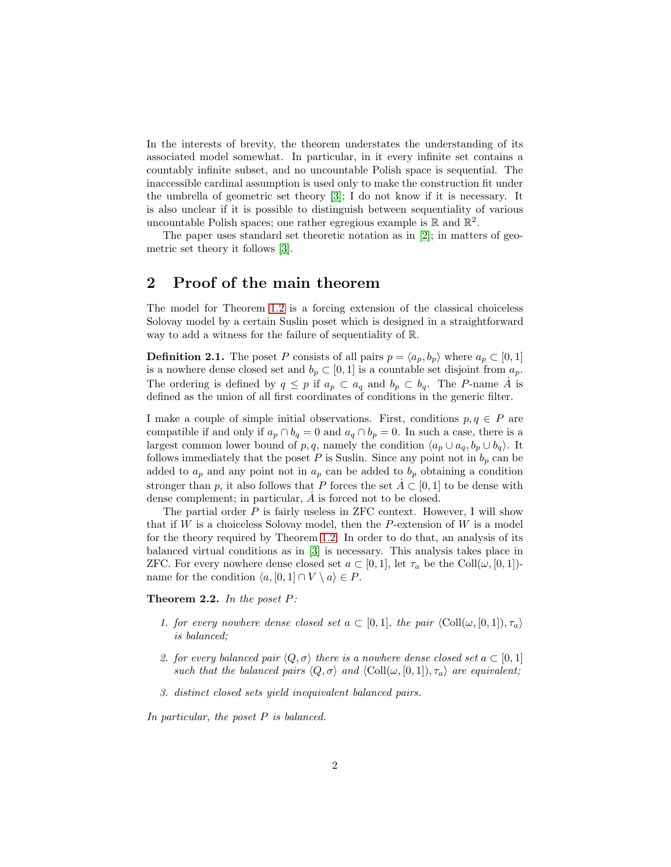In the interests of brevity, the theorem understates the understanding of its associated model somewhat. In particular, in it every infinite set contains a countably infinite subset, and no uncountable Polish space is sequential. The inaccessible cardinal assumption is used only to make the construction fit under the umbrella of geometric set theory [\[3\]](#page-4-1); I do not know if it is necessary. It is also unclear if it is possible to distinguish between sequentiality of various uncountable Polish spaces; one rather egregious example is  $\mathbb R$  and  $\mathbb R^2$ .

The paper uses standard set theoretic notation as in [\[2\]](#page-4-2); in matters of geometric set theory it follows [\[3\]](#page-4-1).

## 2 Proof of the main theorem

The model for Theorem [1.2](#page-0-0) is a forcing extension of the classical choiceless Solovay model by a certain Suslin poset which is designed in a straightforward way to add a witness for the failure of sequentiality of R.

**Definition 2.1.** The poset P consists of all pairs  $p = \langle a_p, b_p \rangle$  where  $a_p \subset [0, 1]$ is a nowhere dense closed set and  $b_p \subset [0, 1]$  is a countable set disjoint from  $a_p$ . The ordering is defined by  $q \leq p$  if  $a_p \subset a_q$  and  $b_p \subset b_q$ . The P-name  $\dot{A}$  is defined as the union of all first coordinates of conditions in the generic filter.

I make a couple of simple initial observations. First, conditions  $p, q \in P$  are compatible if and only if  $a_p \cap b_q = 0$  and  $a_q \cap b_p = 0$ . In such a case, there is a largest common lower bound of p, q, namely the condition  $\langle a_p \cup a_q, b_p \cup b_q \rangle$ . It follows immediately that the poset P is Suslin. Since any point not in  $b_p$  can be added to  $a_p$  and any point not in  $a_p$  can be added to  $b_p$  obtaining a condition stronger than p, it also follows that P forces the set  $A \subset [0, 1]$  to be dense with dense complement; in particular,  $\dot{A}$  is forced not to be closed.

The partial order  $P$  is fairly useless in ZFC context. However, I will show that if  $W$  is a choiceless Solovay model, then the  $P$ -extension of  $W$  is a model for the theory required by Theorem [1.2.](#page-0-0) In order to do that, an analysis of its balanced virtual conditions as in [\[3\]](#page-4-1) is necessary. This analysis takes place in ZFC. For every nowhere dense closed set  $a \subset [0,1]$ , let  $\tau_a$  be the Coll $(\omega, [0,1])$ name for the condition  $\langle a, [0, 1] \cap V \setminus a \rangle \in P$ .

<span id="page-1-0"></span>Theorem 2.2. *In the poset* P*:*

- *1. for every nowhere dense closed set*  $a \subset [0, 1]$ *, the pair*  $\langle \text{Coll}(\omega, [0, 1]), \tau_a \rangle$ *is balanced;*
- *2. for every balanced pair*  $\langle Q, \sigma \rangle$  *there is a nowhere dense closed set*  $a \subset [0, 1]$ *such that the balanced pairs*  $\langle Q, \sigma \rangle$  *and*  $\langle \text{Coll}(\omega, [0, 1]), \tau_a \rangle$  *are equivalent;*
- *3. distinct closed sets yield inequivalent balanced pairs.*

*In particular, the poset* P *is balanced.*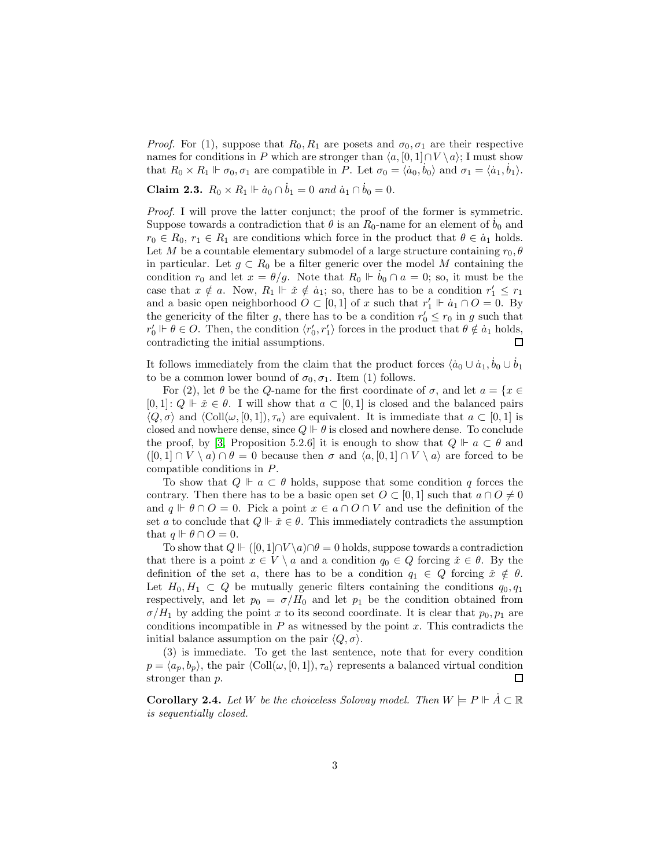*Proof.* For (1), suppose that  $R_0, R_1$  are posets and  $\sigma_0, \sigma_1$  are their respective names for conditions in P which are stronger than  $\langle a, [0, 1] \cap V \setminus a \rangle$ ; I must show that  $R_0 \times R_1 \Vdash \sigma_0, \sigma_1$  are compatible in P. Let  $\sigma_0 = \langle a_0, b_0 \rangle$  and  $\sigma_1 = \langle a_1, b_1 \rangle$ .

**Claim 2.3.**  $R_0 \times R_1 \Vdash \dot{a}_0 \cap \dot{b}_1 = 0$  and  $\dot{a}_1 \cap \dot{b}_0 = 0$ .

*Proof.* I will prove the latter conjunct; the proof of the former is symmetric. Suppose towards a contradiction that  $\theta$  is an  $R_0$ -name for an element of  $b_0$  and  $r_0 \in R_0$ ,  $r_1 \in R_1$  are conditions which force in the product that  $\theta \in \dot{a}_1$  holds. Let M be a countable elementary submodel of a large structure containing  $r_0, \theta$ in particular. Let  $g \,\subset R_0$  be a filter generic over the model M containing the condition  $r_0$  and let  $x = \theta/g$ . Note that  $R_0 \Vdash b_0 \cap a = 0$ ; so, it must be the case that  $x \notin a$ . Now,  $R_1 \Vdash \check{x} \notin \dot{a}_1$ ; so, there has to be a condition  $r'_1 \leq r_1$ and a basic open neighborhood  $O \subset [0,1]$  of x such that  $r'_1 \Vdash \dot{a}_1 \cap O = 0$ . By the genericity of the filter g, there has to be a condition  $r'_0 \leq r_0$  in g such that  $r'_0 \Vdash \theta \in O$ . Then, the condition  $\langle r'_0, r'_1 \rangle$  forces in the product that  $\theta \notin \dot{a}_1$  holds, contradicting the initial assumptions. 口

It follows immediately from the claim that the product forces  $\langle \dot{a}_0 \cup \dot{a}_1, \dot{b}_0 \cup \dot{b}_1 \rangle$ to be a common lower bound of  $\sigma_0, \sigma_1$ . Item (1) follows.

For (2), let  $\theta$  be the Q-name for the first coordinate of  $\sigma$ , and let  $a = \{x \in \mathbb{R}^n : x \in \mathbb{R}^n\}$  $[0, 1]: Q \Vdash \check{x} \in \theta$ . I will show that  $a \subset [0, 1]$  is closed and the balanced pairs  $\langle Q, \sigma \rangle$  and  $\langle \text{Coll}(\omega, [0, 1]), \tau_a \rangle$  are equivalent. It is immediate that  $a \subset [0, 1]$  is closed and nowhere dense, since  $Q \vdash \theta$  is closed and nowhere dense. To conclude the proof, by [\[3,](#page-4-1) Proposition 5.2.6] it is enough to show that  $Q \Vdash a \subset \theta$  and  $([0,1] \cap V \setminus a) \cap \theta = 0$  because then  $\sigma$  and  $\langle a, [0,1] \cap V \setminus a \rangle$  are forced to be compatible conditions in P.

To show that  $Q \Vdash a \subset \theta$  holds, suppose that some condition q forces the contrary. Then there has to be a basic open set  $O \subset [0,1]$  such that  $a \cap O \neq 0$ and  $q \vDash \theta \cap O = 0$ . Pick a point  $x \in a \cap O \cap V$  and use the definition of the set a to conclude that  $Q \Vdash \check{x} \in \theta$ . This immediately contradicts the assumption that  $q \Vdash \theta \cap O = 0$ .

To show that  $Q \Vdash ([0,1] \cap V \backslash a) \cap \theta = 0$  holds, suppose towards a contradiction that there is a point  $x \in V \setminus a$  and a condition  $q_0 \in Q$  forcing  $\check{x} \in \theta$ . By the definition of the set a, there has to be a condition  $q_1 \in Q$  forcing  $\check{x} \notin \theta$ . Let  $H_0, H_1 \subset Q$  be mutually generic filters containing the conditions  $q_0, q_1$ respectively, and let  $p_0 = \sigma/H_0$  and let  $p_1$  be the condition obtained from  $\sigma/H_1$  by adding the point x to its second coordinate. It is clear that  $p_0, p_1$  are conditions incompatible in  $P$  as witnessed by the point  $x$ . This contradicts the initial balance assumption on the pair  $\langle Q, \sigma \rangle$ .

(3) is immediate. To get the last sentence, note that for every condition  $p = \langle a_p, b_p \rangle$ , the pair  $\langle \text{Coll}(\omega, [0, 1]), \tau_a \rangle$  represents a balanced virtual condition stronger than p. □

**Corollary 2.4.** Let W be the choiceless Solovay model. Then  $W \models P \Vdash A \subset \mathbb{R}$ *is sequentially closed.*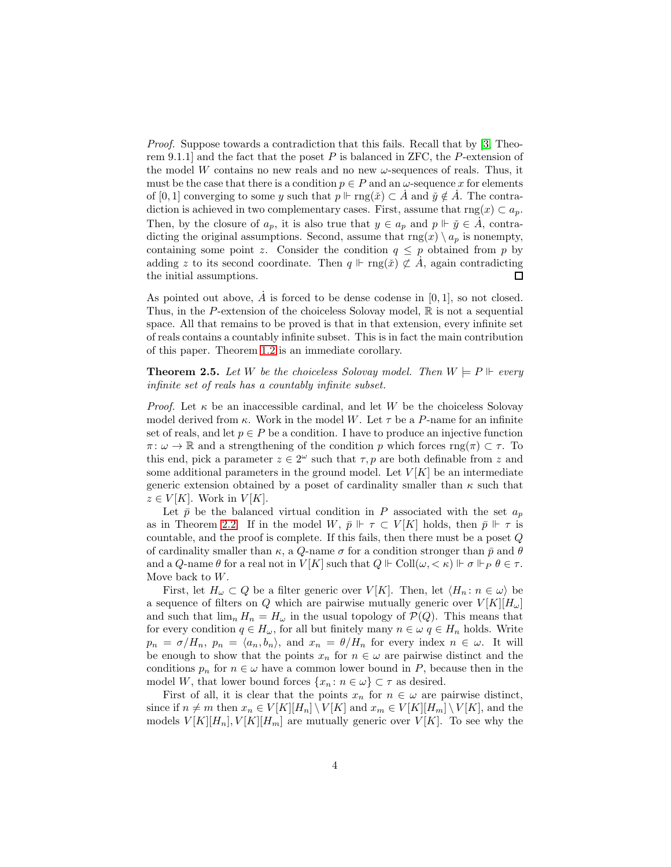*Proof.* Suppose towards a contradiction that this fails. Recall that by [\[3,](#page-4-1) Theorem 9.1.1] and the fact that the poset  $P$  is balanced in ZFC, the  $P$ -extension of the model W contains no new reals and no new  $\omega$ -sequences of reals. Thus, it must be the case that there is a condition  $p \in P$  and an  $\omega$ -sequence x for elements of [0, 1] converging to some y such that  $p \Vdash \text{rng}(\check{x}) \subset \check{A}$  and  $\check{y} \notin \check{A}$ . The contradiction is achieved in two complementary cases. First, assume that  $\text{rng}(x) \subset a_p$ . Then, by the closure of  $a_p$ , it is also true that  $y \in a_p$  and  $p \Vdash \check{y} \in \dot{A}$ , contradicting the original assumptions. Second, assume that  $\text{rng}(x) \setminus a_p$  is nonempty, containing some point z. Consider the condition  $q \leq p$  obtained from p by adding z to its second coordinate. Then  $q \Vdash \text{rng}(\check{x}) \not\subset \check{A}$ , again contradicting the initial assumptions. □

As pointed out above,  $\dot{A}$  is forced to be dense codense in [0, 1], so not closed. Thus, in the P-extension of the choiceless Solovay model,  $\mathbb R$  is not a sequential space. All that remains to be proved is that in that extension, every infinite set of reals contains a countably infinite subset. This is in fact the main contribution of this paper. Theorem [1.2](#page-0-0) is an immediate corollary.

**Theorem 2.5.** Let W be the choiceless Solovay model. Then  $W \models P \Vdash$  every *infinite set of reals has a countably infinite subset.*

*Proof.* Let  $\kappa$  be an inaccessible cardinal, and let W be the choiceless Solovay model derived from  $\kappa$ . Work in the model W. Let  $\tau$  be a P-name for an infinite set of reals, and let  $p \in P$  be a condition. I have to produce an injective function  $\pi: \omega \to \mathbb{R}$  and a strengthening of the condition p which forces  $\text{rng}(\pi) \subset \tau$ . To this end, pick a parameter  $z \in 2^{\omega}$  such that  $\tau, p$  are both definable from z and some additional parameters in the ground model. Let  $V[K]$  be an intermediate generic extension obtained by a poset of cardinality smaller than  $\kappa$  such that  $z \in V[K]$ . Work in  $V[K]$ .

Let  $\bar{p}$  be the balanced virtual condition in P associated with the set  $a_p$ as in Theorem [2.2.](#page-1-0) If in the model W,  $\bar{p} \Vdash \tau \subset V[K]$  holds, then  $\bar{p} \Vdash \tau$  is countable, and the proof is complete. If this fails, then there must be a poset Q of cardinality smaller than  $\kappa$ , a Q-name  $\sigma$  for a condition stronger than  $\bar{p}$  and  $\theta$ and a Q-name  $\theta$  for a real not in  $V[K]$  such that  $Q \Vdash \mathrm{Coll}(\omega, \langle \kappa \rangle \Vdash \sigma \Vdash_P \theta \in \tau$ . Move back to  $W$ .

First, let  $H_{\omega} \subset Q$  be a filter generic over  $V[K]$ . Then, let  $\langle H_n : n \in \omega \rangle$  be a sequence of filters on Q which are pairwise mutually generic over  $V[K][H_{\omega}]$ and such that  $\lim_n H_n = H_\omega$  in the usual topology of  $\mathcal{P}(Q)$ . This means that for every condition  $q \in H_{\omega}$ , for all but finitely many  $n \in \omega$   $q \in H_n$  holds. Write  $p_n = \sigma/H_n$ ,  $p_n = \langle a_n, b_n \rangle$ , and  $x_n = \theta/H_n$  for every index  $n \in \omega$ . It will be enough to show that the points  $x_n$  for  $n \in \omega$  are pairwise distinct and the conditions  $p_n$  for  $n \in \omega$  have a common lower bound in P, because then in the model W, that lower bound forces  $\{x_n\colon n\in\omega\}\subset\tau$  as desired.

First of all, it is clear that the points  $x_n$  for  $n \in \omega$  are pairwise distinct, since if  $n \neq m$  then  $x_n \in V[K][H_n] \setminus V[K]$  and  $x_m \in V[K][H_m] \setminus V[K]$ , and the models  $V[K][H_n], V[K][H_m]$  are mutually generic over  $V[K]$ . To see why the